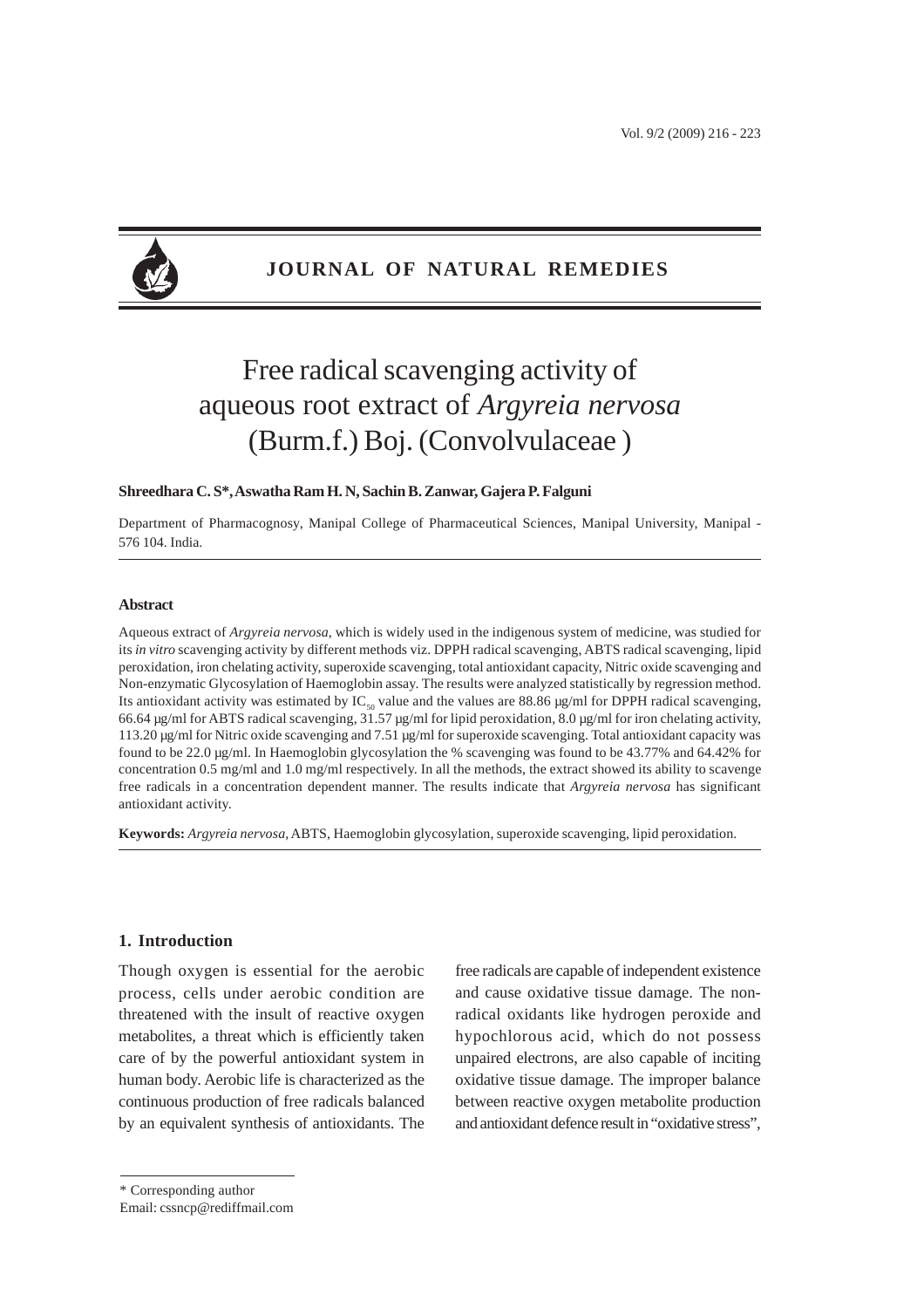# **JOURNAL OF NATURAL REMEDIES**

# Free radical scavenging activity of aqueous root extract of *Argyreia nervosa* (Burm.f.) Boj. (Convolvulaceae )

# **Shreedhara C. S\*, Aswatha Ram H. N, Sachin B. Zanwar, Gajera P. Falguni**

Department of Pharmacognosy, Manipal College of Pharmaceutical Sciences, Manipal University, Manipal - 576 104. India.

#### **Abstract**

Aqueous extract of *Argyreia nervosa*, which is widely used in the indigenous system of medicine, was studied for its *in vitro* scavenging activity by different methods viz. DPPH radical scavenging, ABTS radical scavenging, lipid peroxidation, iron chelating activity, superoxide scavenging, total antioxidant capacity, Nitric oxide scavenging and Non-enzymatic Glycosylation of Haemoglobin assay. The results were analyzed statistically by regression method. Its antioxidant activity was estimated by  $IC_{\epsilon_0}$  value and the values are 88.86  $\mu$ g/ml for DPPH radical scavenging, 66.64 µg/ml for ABTS radical scavenging, 31.57 µg/ml for lipid peroxidation, 8.0 µg/ml for iron chelating activity, 113.20 µg/ml for Nitric oxide scavenging and 7.51 µg/ml for superoxide scavenging. Total antioxidant capacity was found to be 22.0 µg/ml. In Haemoglobin glycosylation the % scavenging was found to be 43.77% and 64.42% for concentration 0.5 mg/ml and 1.0 mg/ml respectively. In all the methods, the extract showed its ability to scavenge free radicals in a concentration dependent manner. The results indicate that *Argyreia nervosa* has significant antioxidant activity.

**Keywords:** *Argyreia nervosa*, ABTS, Haemoglobin glycosylation, superoxide scavenging, lipid peroxidation.

#### **1. Introduction**

Though oxygen is essential for the aerobic process, cells under aerobic condition are threatened with the insult of reactive oxygen metabolites, a threat which is efficiently taken care of by the powerful antioxidant system in human body. Aerobic life is characterized as the continuous production of free radicals balanced by an equivalent synthesis of antioxidants. The

free radicals are capable of independent existence and cause oxidative tissue damage. The nonradical oxidants like hydrogen peroxide and hypochlorous acid, which do not possess unpaired electrons, are also capable of inciting oxidative tissue damage. The improper balance between reactive oxygen metabolite production and antioxidant defence result in "oxidative stress",

\* Corresponding author

Email: cssncp@rediffmail.com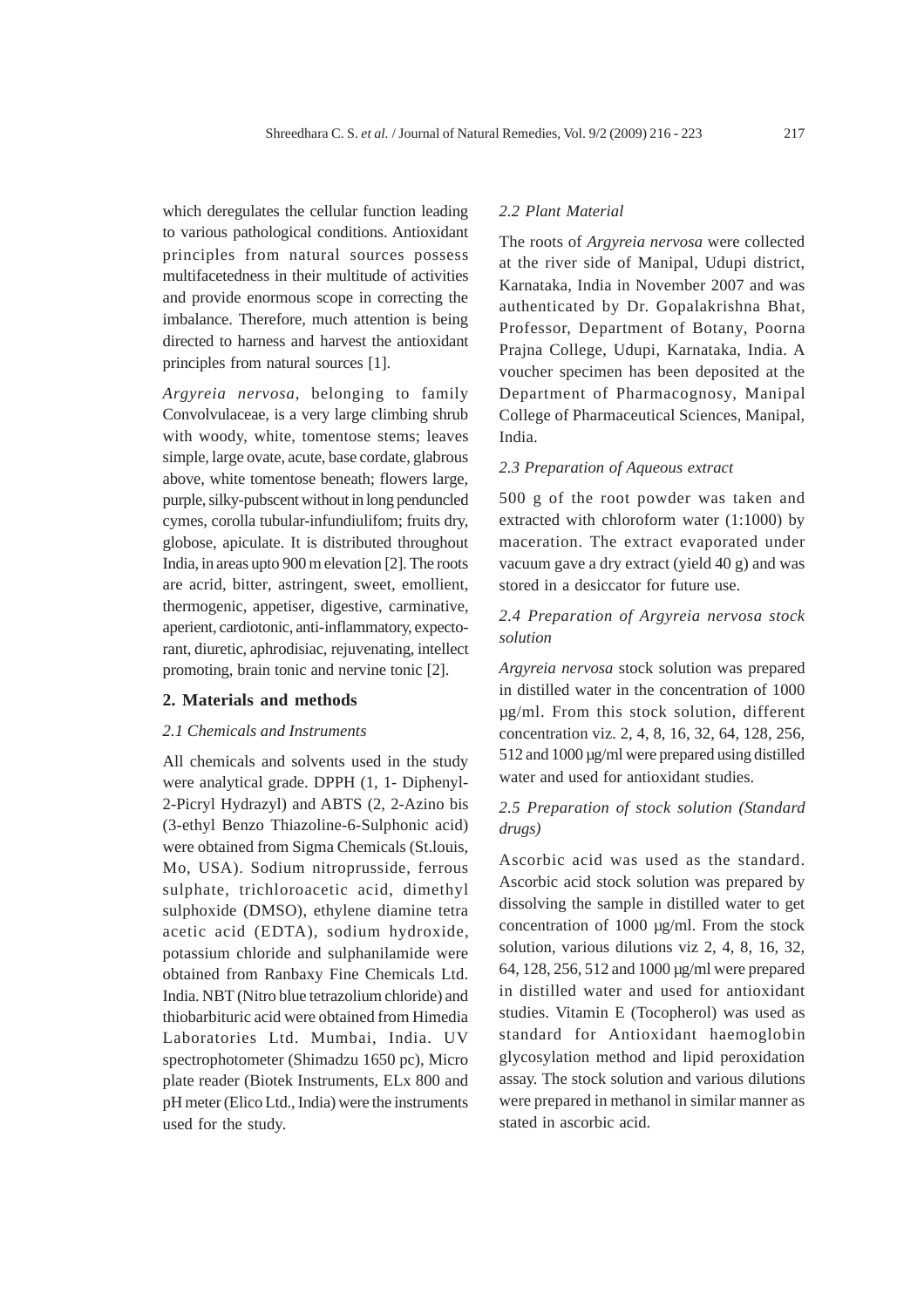which deregulates the cellular function leading to various pathological conditions. Antioxidant principles from natural sources possess multifacetedness in their multitude of activities and provide enormous scope in correcting the imbalance. Therefore, much attention is being directed to harness and harvest the antioxidant principles from natural sources [1].

*Argyreia nervosa*, belonging to family Convolvulaceae, is a very large climbing shrub with woody, white, tomentose stems; leaves simple, large ovate, acute, base cordate, glabrous above, white tomentose beneath; flowers large, purple, silky-pubscent without in long penduncled cymes, corolla tubular-infundiulifom; fruits dry, globose, apiculate. It is distributed throughout India, in areas upto 900 m elevation [2]. The roots are acrid, bitter, astringent, sweet, emollient, thermogenic, appetiser, digestive, carminative, aperient, cardiotonic, anti-inflammatory, expectorant, diuretic, aphrodisiac, rejuvenating, intellect promoting, brain tonic and nervine tonic [2].

#### **2. Materials and methods**

#### *2.1 Chemicals and Instruments*

All chemicals and solvents used in the study were analytical grade. DPPH (1, 1- Diphenyl-2-Picryl Hydrazyl) and ABTS (2, 2-Azino bis (3-ethyl Benzo Thiazoline-6-Sulphonic acid) were obtained from Sigma Chemicals (St.louis, Mo, USA). Sodium nitroprusside, ferrous sulphate, trichloroacetic acid, dimethyl sulphoxide (DMSO), ethylene diamine tetra acetic acid (EDTA), sodium hydroxide, potassium chloride and sulphanilamide were obtained from Ranbaxy Fine Chemicals Ltd. India. NBT (Nitro blue tetrazolium chloride) and thiobarbituric acid were obtained from Himedia Laboratories Ltd. Mumbai, India. UV spectrophotometer (Shimadzu 1650 pc), Micro plate reader (Biotek Instruments, ELx 800 and pH meter (Elico Ltd., India) were the instruments used for the study.

# *2.2 Plant Material*

The roots of *Argyreia nervosa* were collected at the river side of Manipal, Udupi district, Karnataka, India in November 2007 and was authenticated by Dr. Gopalakrishna Bhat, Professor, Department of Botany, Poorna Prajna College, Udupi, Karnataka, India. A voucher specimen has been deposited at the Department of Pharmacognosy, Manipal College of Pharmaceutical Sciences, Manipal, India.

# *2.3 Preparation of Aqueous extract*

500 g of the root powder was taken and extracted with chloroform water (1:1000) by maceration. The extract evaporated under vacuum gave a dry extract (yield 40 g) and was stored in a desiccator for future use.

# *2.4 Preparation of Argyreia nervosa stock solution*

*Argyreia nervosa* stock solution was prepared in distilled water in the concentration of 1000 µg/ml. From this stock solution, different concentration viz. 2, 4, 8, 16, 32, 64, 128, 256, 512 and 1000 µg/ml were prepared using distilled water and used for antioxidant studies.

# *2.5 Preparation of stock solution (Standard drugs)*

Ascorbic acid was used as the standard. Ascorbic acid stock solution was prepared by dissolving the sample in distilled water to get concentration of 1000 µg/ml. From the stock solution, various dilutions viz 2, 4, 8, 16, 32, 64, 128, 256, 512 and 1000 µg/ml were prepared in distilled water and used for antioxidant studies. Vitamin E (Tocopherol) was used as standard for Antioxidant haemoglobin glycosylation method and lipid peroxidation assay. The stock solution and various dilutions were prepared in methanol in similar manner as stated in ascorbic acid.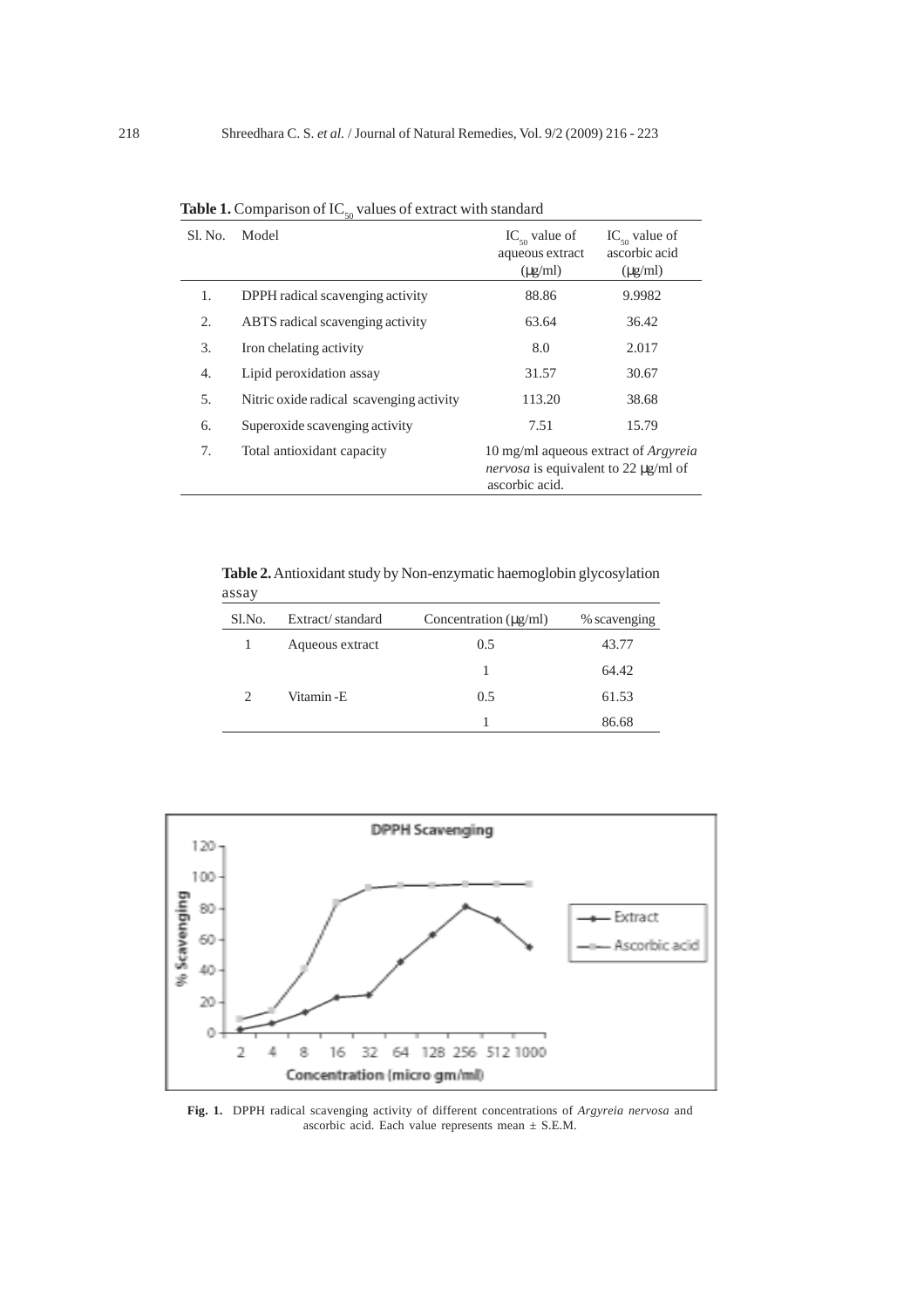| Sl. No. | Model                                    | $IC_{50}$ value of<br>aqueous extract<br>$(\mu g/ml)$                                                        | $IC_{50}$ value of<br>ascorbic acid<br>$(\mu g/ml)$ |
|---------|------------------------------------------|--------------------------------------------------------------------------------------------------------------|-----------------------------------------------------|
| 1.      | DPPH radical scavenging activity         | 88.86                                                                                                        | 9.9982                                              |
| 2.      | ABTS radical scavenging activity         | 63.64                                                                                                        | 36.42                                               |
| 3.      | Iron chelating activity                  | 8.0                                                                                                          | 2.017                                               |
| 4.      | Lipid peroxidation assay                 | 31.57                                                                                                        | 30.67                                               |
| 5.      | Nitric oxide radical scavenging activity | 113.20                                                                                                       | 38.68                                               |
| 6.      | Superoxide scavenging activity           | 7.51                                                                                                         | 15.79                                               |
| 7.      | Total antioxidant capacity               | 10 mg/ml aqueous extract of <i>Argyreia</i><br><i>nervosa</i> is equivalent to 22 µg/ml of<br>ascorbic acid. |                                                     |

Table 1. Comparison of IC<sub>50</sub> values of extract with standard

**Table 2.** Antioxidant study by Non-enzymatic haemoglobin glycosylation assay

| Sl.No.                      | Extract/standard | Concentration $(\mu g/ml)$ | % scavenging |
|-----------------------------|------------------|----------------------------|--------------|
|                             | Aqueous extract  | 0.5                        | 43.77        |
|                             |                  |                            | 64.42        |
| $\mathcal{D}_{\mathcal{L}}$ | Vitamin-E        | 0.5                        | 61.53        |
|                             |                  |                            | 86.68        |



**Fig. 1.** DPPH radical scavenging activity of different concentrations of *Argyreia nervosa* and ascorbic acid. Each value represents mean ± S.E.M.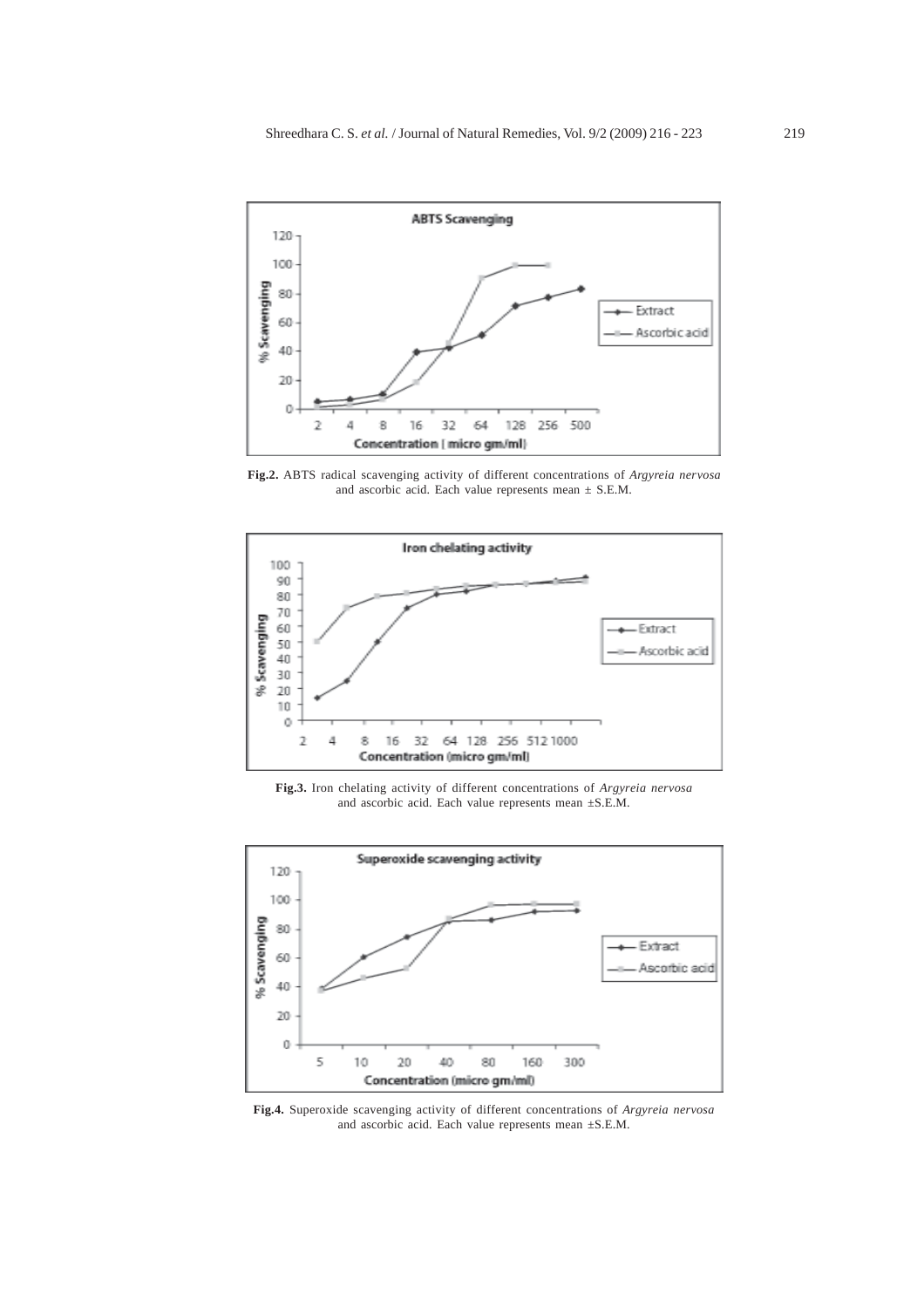

**Fig.2.** ABTS radical scavenging activity of different concentrations of *Argyreia nervosa* and ascorbic acid. Each value represents mean  $\pm$  S.E.M.



**Fig.3.** Iron chelating activity of different concentrations of *Argyreia nervosa* and ascorbic acid. Each value represents mean ±S.E.M.



**Fig.4.** Superoxide scavenging activity of different concentrations of *Argyreia nervosa* and ascorbic acid. Each value represents mean ±S.E.M.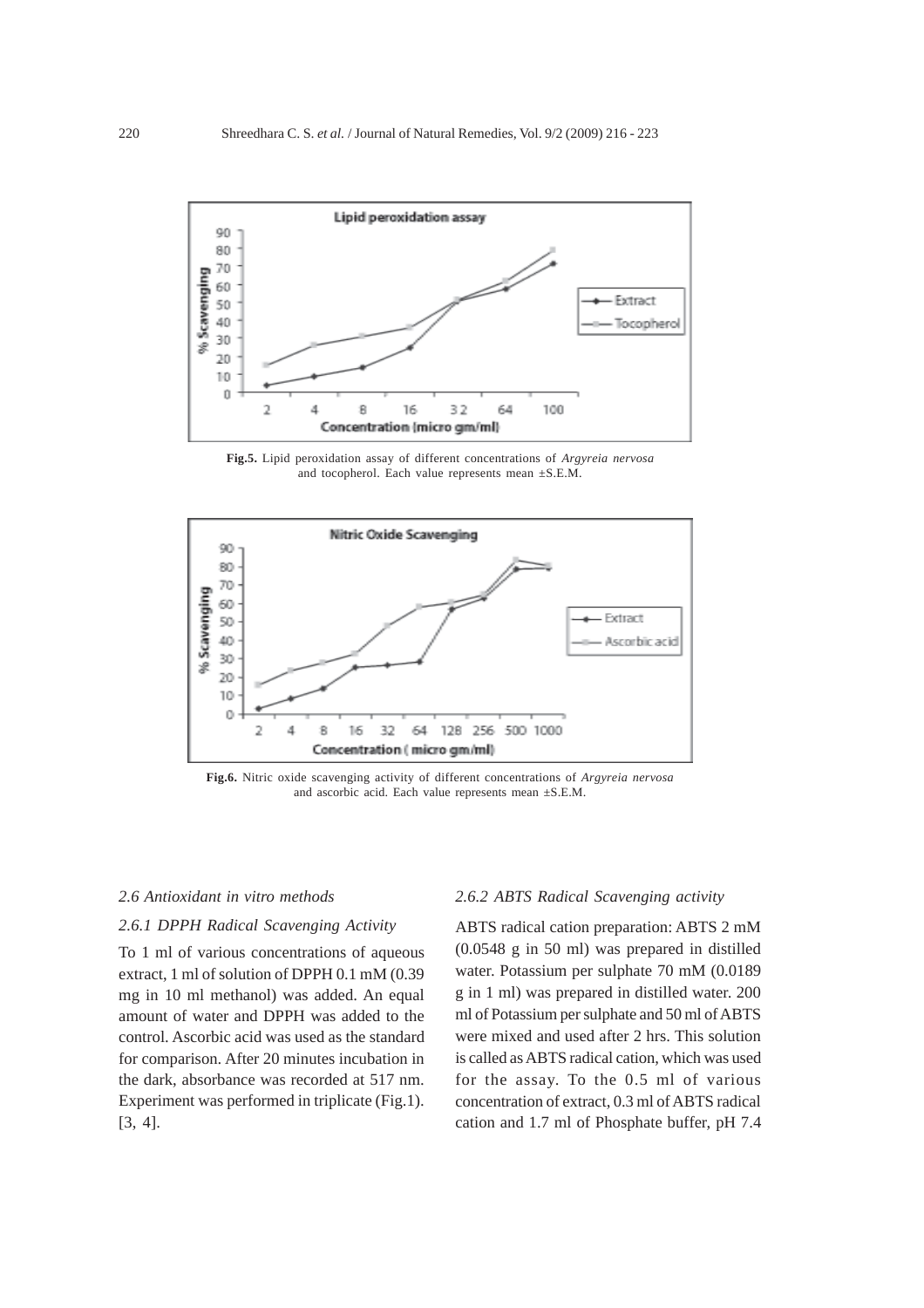

**Fig.5.** Lipid peroxidation assay of different concentrations of *Argyreia nervosa* and tocopherol. Each value represents mean ±S.E.M.



**Fig.6.** Nitric oxide scavenging activity of different concentrations of *Argyreia nervosa* and ascorbic acid. Each value represents mean ±S.E.M.

#### *2.6 Antioxidant in vitro methods*

# *2.6.1 DPPH Radical Scavenging Activity*

To 1 ml of various concentrations of aqueous extract, 1 ml of solution of DPPH 0.1 mM (0.39 mg in 10 ml methanol) was added. An equal amount of water and DPPH was added to the control. Ascorbic acid was used as the standard for comparison. After 20 minutes incubation in the dark, absorbance was recorded at 517 nm. Experiment was performed in triplicate (Fig.1). [3, 4].

# *2.6.2 ABTS Radical Scavenging activity*

ABTS radical cation preparation: ABTS 2 mM (0.0548 g in 50 ml) was prepared in distilled water. Potassium per sulphate 70 mM (0.0189 g in 1 ml) was prepared in distilled water. 200 ml of Potassium per sulphate and 50 ml of ABTS were mixed and used after 2 hrs. This solution is called as ABTS radical cation, which was used for the assay. To the 0.5 ml of various concentration of extract, 0.3 ml of ABTS radical cation and 1.7 ml of Phosphate buffer, pH 7.4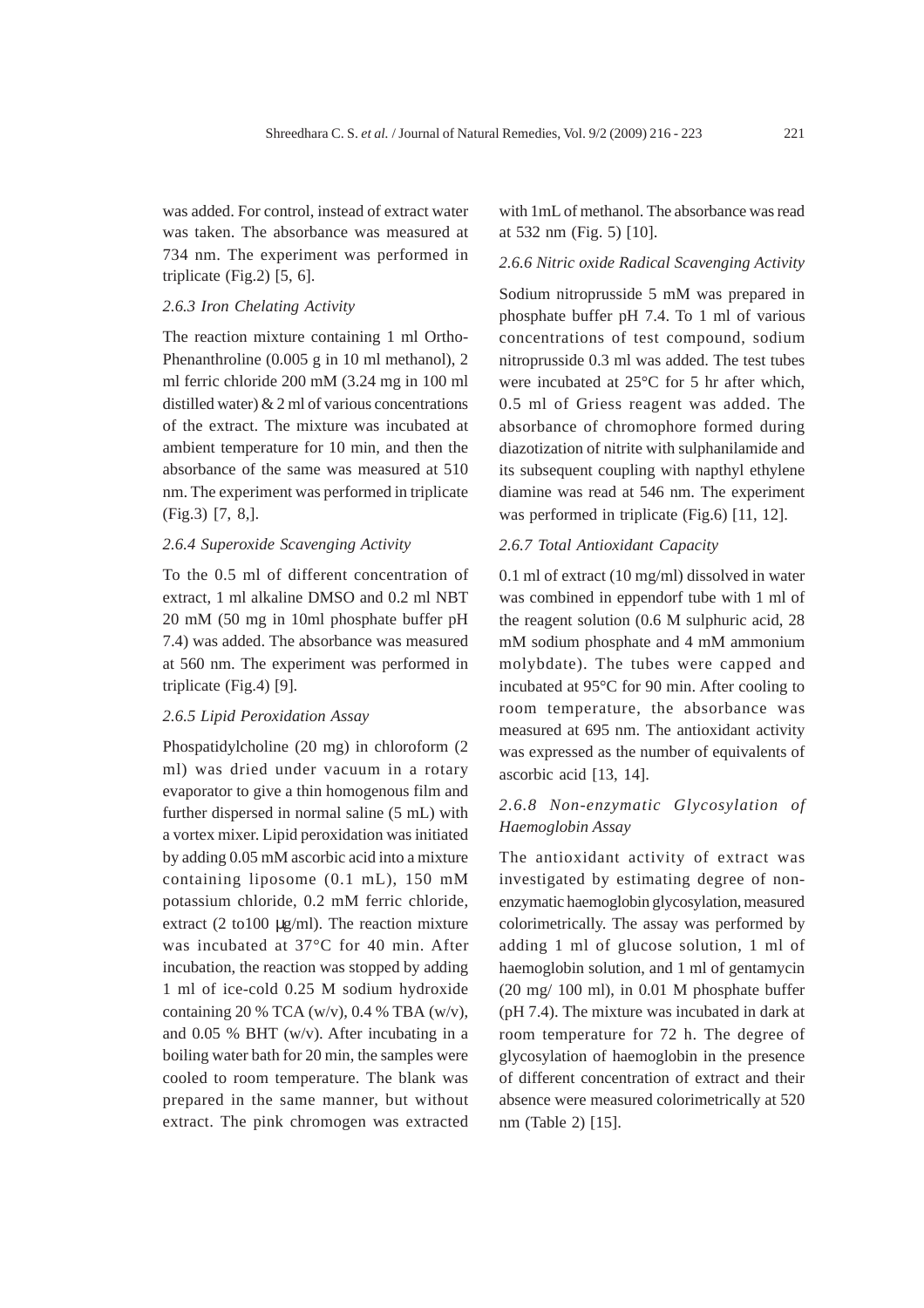was added. For control, instead of extract water was taken. The absorbance was measured at 734 nm. The experiment was performed in triplicate (Fig.2) [5, 6].

## *2.6.3 Iron Chelating Activity*

The reaction mixture containing 1 ml Ortho-Phenanthroline (0.005 g in 10 ml methanol), 2 ml ferric chloride 200 mM (3.24 mg in 100 ml distilled water) & 2 ml of various concentrations of the extract. The mixture was incubated at ambient temperature for 10 min, and then the absorbance of the same was measured at 510 nm. The experiment was performed in triplicate (Fig.3) [7, 8,].

### *2.6.4 Superoxide Scavenging Activity*

To the 0.5 ml of different concentration of extract, 1 ml alkaline DMSO and 0.2 ml NBT 20 mM (50 mg in 10ml phosphate buffer pH 7.4) was added. The absorbance was measured at 560 nm. The experiment was performed in triplicate (Fig.4) [9].

### *2.6.5 Lipid Peroxidation Assay*

Phospatidylcholine (20 mg) in chloroform (2 ml) was dried under vacuum in a rotary evaporator to give a thin homogenous film and further dispersed in normal saline (5 mL) with a vortex mixer. Lipid peroxidation was initiated by adding 0.05 mM ascorbic acid into a mixture containing liposome (0.1 mL), 150 mM potassium chloride, 0.2 mM ferric chloride, extract (2 to100  $\mu$ g/ml). The reaction mixture was incubated at 37°C for 40 min. After incubation, the reaction was stopped by adding 1 ml of ice-cold 0.25 M sodium hydroxide containing 20 % TCA (w/v), 0.4 % TBA (w/v), and 0.05 % BHT (w/v). After incubating in a boiling water bath for 20 min, the samples were cooled to room temperature. The blank was prepared in the same manner, but without extract. The pink chromogen was extracted with 1mL of methanol. The absorbance was read at 532 nm (Fig. 5) [10].

# *2.6.6 Nitric oxide Radical Scavenging Activity*

Sodium nitroprusside 5 mM was prepared in phosphate buffer pH 7.4. To 1 ml of various concentrations of test compound, sodium nitroprusside 0.3 ml was added. The test tubes were incubated at 25°C for 5 hr after which, 0.5 ml of Griess reagent was added. The absorbance of chromophore formed during diazotization of nitrite with sulphanilamide and its subsequent coupling with napthyl ethylene diamine was read at 546 nm. The experiment was performed in triplicate (Fig.6) [11, 12].

#### *2.6.7 Total Antioxidant Capacity*

0.1 ml of extract (10 mg/ml) dissolved in water was combined in eppendorf tube with 1 ml of the reagent solution (0.6 M sulphuric acid, 28 mM sodium phosphate and 4 mM ammonium molybdate). The tubes were capped and incubated at 95°C for 90 min. After cooling to room temperature, the absorbance was measured at 695 nm. The antioxidant activity was expressed as the number of equivalents of ascorbic acid [13, 14].

# *2.6.8 Non-enzymatic Glycosylation of Haemoglobin Assay*

The antioxidant activity of extract was investigated by estimating degree of nonenzymatic haemoglobin glycosylation, measured colorimetrically. The assay was performed by adding 1 ml of glucose solution, 1 ml of haemoglobin solution, and 1 ml of gentamycin (20 mg/ 100 ml), in 0.01 M phosphate buffer (pH 7.4). The mixture was incubated in dark at room temperature for 72 h. The degree of glycosylation of haemoglobin in the presence of different concentration of extract and their absence were measured colorimetrically at 520 nm (Table 2) [15].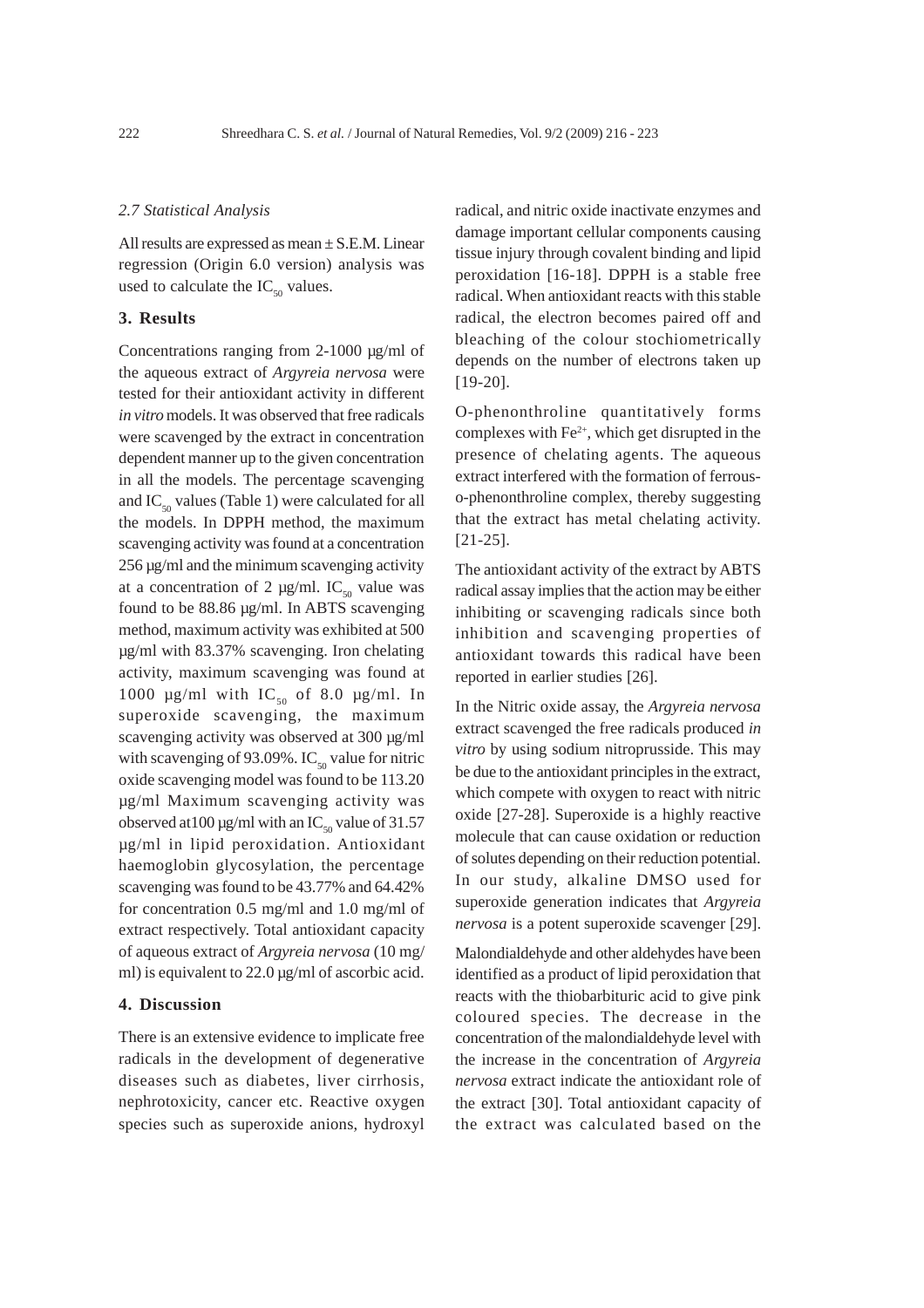### *2.7 Statistical Analysis*

All results are expressed as mean  $\pm$  S.E.M. Linear regression (Origin 6.0 version) analysis was used to calculate the  $IC_{50}$  values.

# **3. Results**

Concentrations ranging from 2-1000 µg/ml of the aqueous extract of *Argyreia nervosa* were tested for their antioxidant activity in different *in vitro* models. It was observed that free radicals were scavenged by the extract in concentration dependent manner up to the given concentration in all the models. The percentage scavenging and  $IC_{50}$  values (Table 1) were calculated for all the models. In DPPH method, the maximum scavenging activity was found at a concentration 256 µg/ml and the minimum scavenging activity at a concentration of 2  $\mu$ g/ml. IC<sub>50</sub> value was found to be 88.86 µg/ml. In ABTS scavenging method, maximum activity was exhibited at 500 µg/ml with 83.37% scavenging. Iron chelating activity, maximum scavenging was found at 1000  $\mu$ g/ml with IC<sub>50</sub> of 8.0  $\mu$ g/ml. In superoxide scavenging, the maximum scavenging activity was observed at 300 µg/ml with scavenging of 93.09%. IC<sub>50</sub> value for nitric oxide scavenging model was found to be 113.20 µg/ml Maximum scavenging activity was observed at 100  $\mu$ g/ml with an IC<sub>50</sub> value of 31.57 µg/ml in lipid peroxidation. Antioxidant haemoglobin glycosylation, the percentage scavenging was found to be 43.77% and 64.42% for concentration 0.5 mg/ml and 1.0 mg/ml of extract respectively. Total antioxidant capacity of aqueous extract of *Argyreia nervosa* (10 mg/ ml) is equivalent to 22.0 μg/ml of ascorbic acid.

### **4. Discussion**

There is an extensive evidence to implicate free radicals in the development of degenerative diseases such as diabetes, liver cirrhosis, nephrotoxicity, cancer etc. Reactive oxygen species such as superoxide anions, hydroxyl

radical, and nitric oxide inactivate enzymes and damage important cellular components causing tissue injury through covalent binding and lipid peroxidation [16-18]. DPPH is a stable free radical. When antioxidant reacts with this stable radical, the electron becomes paired off and bleaching of the colour stochiometrically depends on the number of electrons taken up [19-20].

O-phenonthroline quantitatively forms complexes with  $Fe<sup>2+</sup>$ , which get disrupted in the presence of chelating agents. The aqueous extract interfered with the formation of ferrouso-phenonthroline complex, thereby suggesting that the extract has metal chelating activity. [21-25].

The antioxidant activity of the extract by ABTS radical assay implies that the action may be either inhibiting or scavenging radicals since both inhibition and scavenging properties of antioxidant towards this radical have been reported in earlier studies [26].

In the Nitric oxide assay, the *Argyreia nervosa* extract scavenged the free radicals produced *in vitro* by using sodium nitroprusside. This may be due to the antioxidant principles in the extract, which compete with oxygen to react with nitric oxide [27-28]. Superoxide is a highly reactive molecule that can cause oxidation or reduction of solutes depending on their reduction potential. In our study, alkaline DMSO used for superoxide generation indicates that *Argyreia nervosa* is a potent superoxide scavenger [29].

Malondialdehyde and other aldehydes have been identified as a product of lipid peroxidation that reacts with the thiobarbituric acid to give pink coloured species. The decrease in the concentration of the malondialdehyde level with the increase in the concentration of *Argyreia nervosa* extract indicate the antioxidant role of the extract [30]. Total antioxidant capacity of the extract was calculated based on the